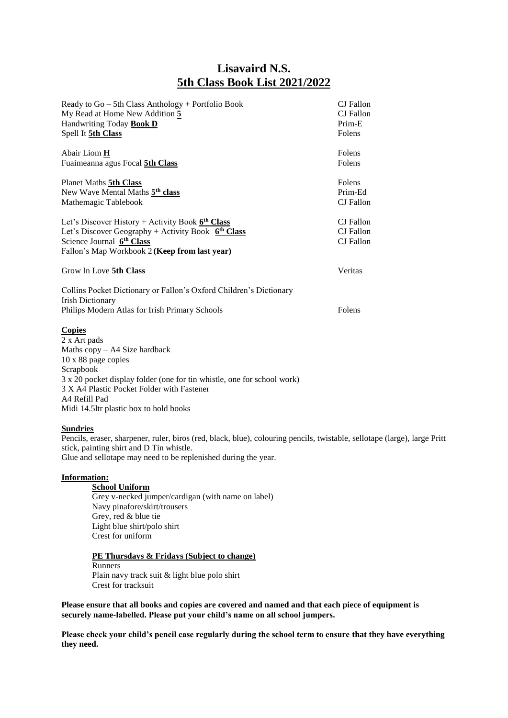## **Lisavaird N.S. 5th Class Book List 2021/2022**

| Ready to Go - 5th Class Anthology + Portfolio Book                      | CJ Fallon        |
|-------------------------------------------------------------------------|------------------|
| My Read at Home New Addition 5                                          | CJ Fallon        |
| Handwriting Today <b>Book D</b>                                         | Prim-E           |
| Spell It 5th Class                                                      | Folens           |
| Abair Liom <b>H</b>                                                     | Folens           |
| Fuaimeanna agus Focal 5th Class                                         | Folens           |
| Planet Maths <b>5th Class</b>                                           | Folens           |
| New Wave Mental Maths 5th class                                         | Prim-Ed          |
| Mathemagic Tablebook                                                    | CJ Fallon        |
| Let's Discover History + Activity Book $6th Class$                      | CJ Fallon        |
| Let's Discover Geography + Activity Book $6th Class$                    | CJ Fallon        |
| Science Journal 6 <sup>th</sup> Class                                   | <b>CJ</b> Fallon |
| Fallon's Map Workbook 2 (Keep from last year)                           |                  |
| Grow In Love 5th Class                                                  | Veritas          |
| Collins Pocket Dictionary or Fallon's Oxford Children's Dictionary      |                  |
| <b>Irish Dictionary</b>                                                 |                  |
| Philips Modern Atlas for Irish Primary Schools                          | Folens           |
| <b>Copies</b>                                                           |                  |
| 2 x Art pads                                                            |                  |
| Maths copy - A4 Size hardback                                           |                  |
| 10 x 88 page copies                                                     |                  |
| Scrapbook                                                               |                  |
| 3 x 20 pocket display folder (one for tin whistle, one for school work) |                  |
| 3 X A4 Plastic Pocket Folder with Fastener                              |                  |
| A4 Refill Pad                                                           |                  |
| Midi 14.5ltr plastic box to hold books                                  |                  |
| $\sim$ $\sim$                                                           |                  |

## **Sundries**

Pencils, eraser, sharpener, ruler, biros (red, black, blue), colouring pencils, twistable, sellotape (large), large Pritt stick, painting shirt and D Tin whistle.

Glue and sellotape may need to be replenished during the year.

## **Information:**

**School Uniform**  Grey v-necked jumper/cardigan (with name on label) Navy pinafore/skirt/trousers Grey, red & blue tie Light blue shirt/polo shirt Crest for uniform

## **PE Thursdays & Fridays (Subject to change)** Runners Plain navy track suit & light blue polo shirt Crest for tracksuit

**Please ensure that all books and copies are covered and named and that each piece of equipment is securely name-labelled. Please put your child's name on all school jumpers.** 

**Please check your child's pencil case regularly during the school term to ensure that they have everything they need.**